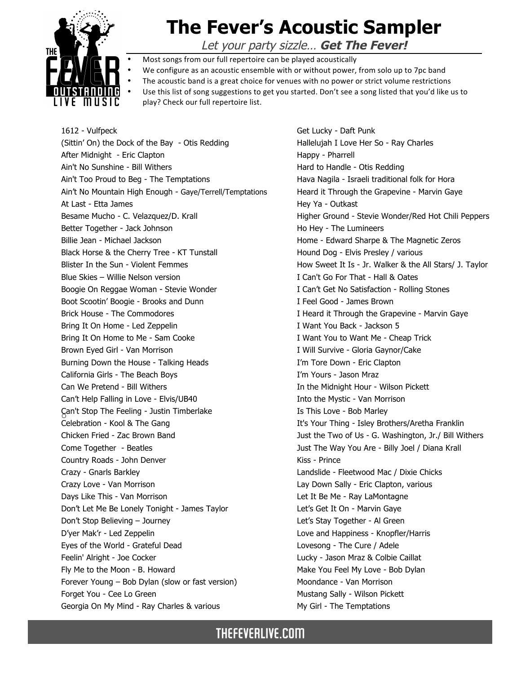

1612 - Vulfpeck

## **The Fever's Acoustic Sampler**

Let your party sizzle… **Get The Fever!**

- Most songs from our full repertoire can be played acoustically
- We configure as an acoustic ensemble with or without power, from solo up to 7pc band
- The acoustic band is a great choice for venues with no power or strict volume restrictions
- Use this list of song suggestions to get you started. Don't see a song listed that you'd like us to play? Check our full repertoire list.
- o Can't Stop The Feeling Justin Timberlake (Sittin' On) the Dock of the Bay - Otis Redding After Midnight - Eric Clapton Ain't No Sunshine - Bill Withers Ain't Too Proud to Beg - The Temptations Ain't No Mountain High Enough - Gaye/Terrell/Temptations At Last - Etta James Besame Mucho - C. Velazquez/D. Krall Better Together - Jack Johnson Billie Jean - Michael Jackson Black Horse & the Cherry Tree - KT Tunstall Blister In the Sun - Violent Femmes Blue Skies – Willie Nelson version Boogie On Reggae Woman - Stevie Wonder Boot Scootin' Boogie - Brooks and Dunn Brick House - The Commodores Bring It On Home - Led Zeppelin Bring It On Home to Me - Sam Cooke Brown Eyed Girl - Van Morrison Burning Down the House - Talking Heads California Girls - The Beach Boys Can We Pretend - Bill Withers Can't Help Falling in Love - Elvis/UB40 Celebration - Kool & The Gang Chicken Fried - Zac Brown Band Come Together - Beatles Country Roads - John Denver Crazy - Gnarls Barkley Crazy Love - Van Morrison Days Like This - Van Morrison Don't Let Me Be Lonely Tonight - James Taylor Don't Stop Believing – Journey D'yer Mak'r - Led Zeppelin Eyes of the World - Grateful Dead Feelin' Alright - Joe Cocker Fly Me to the Moon - B. Howard Forever Young – Bob Dylan (slow or fast version) Forget You - Cee Lo Green Georgia On My Mind - Ray Charles & various

Get Lucky - Daft Punk Hallelujah I Love Her So - Ray Charles Happy - Pharrell Hard to Handle - Otis Redding Hava Nagila - Israeli traditional folk for Hora Heard it Through the Grapevine - Marvin Gaye Hey Ya - Outkast Higher Ground - Stevie Wonder/Red Hot Chili Peppers Ho Hey - The Lumineers Home - Edward Sharpe & The Magnetic Zeros Hound Dog - Elvis Presley / various How Sweet It Is - Jr. Walker & the All Stars/ J. Taylor I Can't Go For That - Hall & Oates I Can't Get No Satisfaction - Rolling Stones I Feel Good - James Brown I Heard it Through the Grapevine - Marvin Gaye I Want You Back - Jackson 5 I Want You to Want Me - Cheap Trick I Will Survive - Gloria Gaynor/Cake I'm Tore Down - Eric Clapton I'm Yours - Jason Mraz In the Midnight Hour - Wilson Pickett Into the Mystic - Van Morrison Is This Love - Bob Marley It's Your Thing - Isley Brothers/Aretha Franklin Just the Two of Us - G. Washington, Jr./ Bill Withers Just The Way You Are - Billy Joel / Diana Krall Kiss - Prince Landslide - Fleetwood Mac / Dixie Chicks Lay Down Sally - Eric Clapton, various Let It Be Me - Ray LaMontagne Let's Get It On - Marvin Gaye Let's Stay Together - Al Green Love and Happiness - Knopfler/Harris Lovesong - The Cure / Adele Lucky - Jason Mraz & Colbie Caillat Make You Feel My Love - Bob Dylan Moondance - Van Morrison Mustang Sally - Wilson Pickett My Girl - The Temptations

THEFEVERLIVE.COM